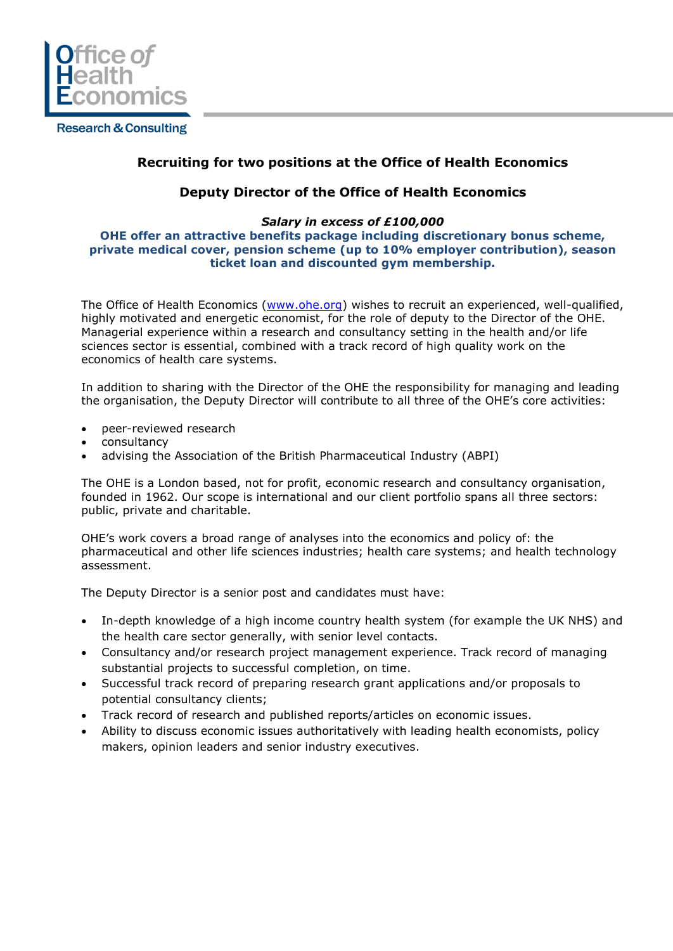

**Research & Consulting** 

# **Recruiting for two positions at the Office of Health Economics**

### **Deputy Director of the Office of Health Economics**

#### *Salary in excess of £100,000*  **OHE offer an attractive benefits package including discretionary bonus scheme, private medical cover, pension scheme (up to 10% employer contribution), season ticket loan and discounted gym membership.**

The Office of Health Economics [\(www.ohe.org\)](http://www.ohe.org/) wishes to recruit an experienced, well-qualified, highly motivated and energetic economist, for the role of deputy to the Director of the OHE. Managerial experience within a research and consultancy setting in the health and/or life sciences sector is essential, combined with a track record of high quality work on the economics of health care systems.

In addition to sharing with the Director of the OHE the responsibility for managing and leading the organisation, the Deputy Director will contribute to all three of the OHE's core activities:

- peer-reviewed research
- consultancy
- advising the Association of the British Pharmaceutical Industry (ABPI)

The OHE is a London based, not for profit, economic research and consultancy organisation, founded in 1962. Our scope is international and our client portfolio spans all three sectors: public, private and charitable.

OHE's work covers a broad range of analyses into the economics and policy of: the pharmaceutical and other life sciences industries; health care systems; and health technology assessment.

The Deputy Director is a senior post and candidates must have:

- In-depth knowledge of a high income country health system (for example the UK NHS) and the health care sector generally, with senior level contacts.
- Consultancy and/or research project management experience. Track record of managing substantial projects to successful completion, on time.
- Successful track record of preparing research grant applications and/or proposals to potential consultancy clients;
- Track record of research and published reports/articles on economic issues.
- Ability to discuss economic issues authoritatively with leading health economists, policy makers, opinion leaders and senior industry executives.